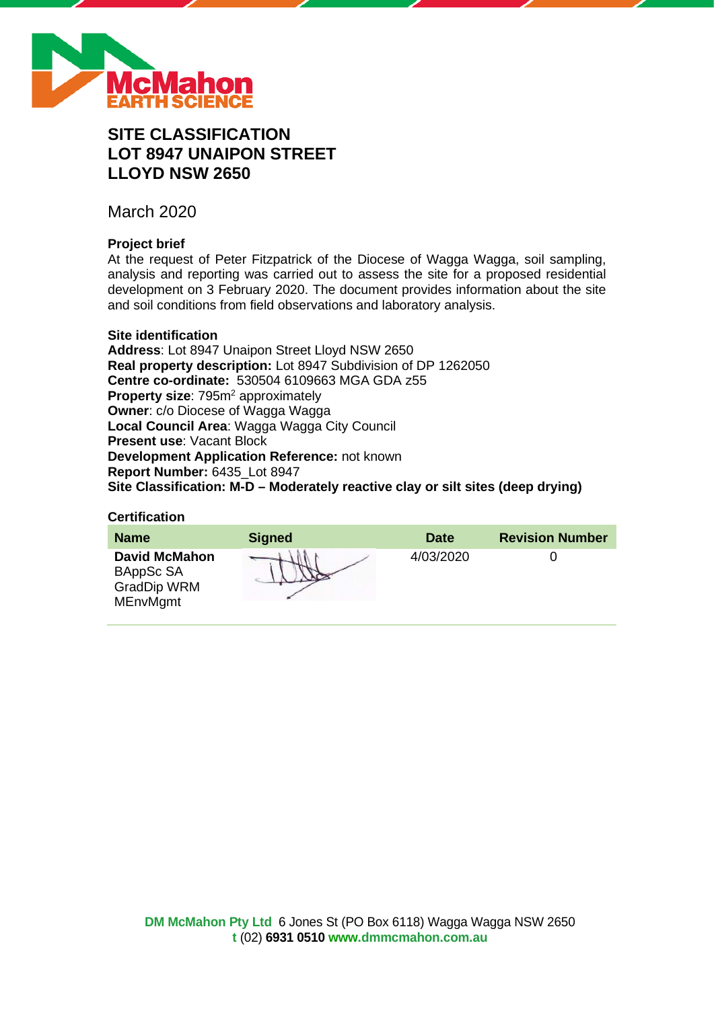

# **SITE CLASSIFICATION LOT 8947 UNAIPON STREET LLOYD NSW 2650**

March 2020

# **Project brief**

At the request of Peter Fitzpatrick of the Diocese of Wagga Wagga, soil sampling, analysis and reporting was carried out to assess the site for a proposed residential development on 3 February 2020. The document provides information about the site and soil conditions from field observations and laboratory analysis.

#### **Site identification**

**Address**: Lot 8947 Unaipon Street Lloyd NSW 2650 **Real property description:** Lot 8947 Subdivision of DP 1262050 **Centre co-ordinate:** 530504 6109663 MGA GDA z55 **Property size:** 795m<sup>2</sup> approximately **Owner**: c/o Diocese of Wagga Wagga **Local Council Area**: Wagga Wagga City Council **Present use**: Vacant Block **Development Application Reference:** not known **Report Number:** 6435\_Lot 8947 **Site Classification: M-D – Moderately reactive clay or silt sites (deep drying)**

#### **Certification**

| <b>Name</b>                                                                | <b>Signed</b> | <b>Date</b> | <b>Revision Number</b> |
|----------------------------------------------------------------------------|---------------|-------------|------------------------|
| <b>David McMahon</b><br>BAppSc SA<br><b>GradDip WRM</b><br><b>MEnvMgmt</b> |               | 4/03/2020   |                        |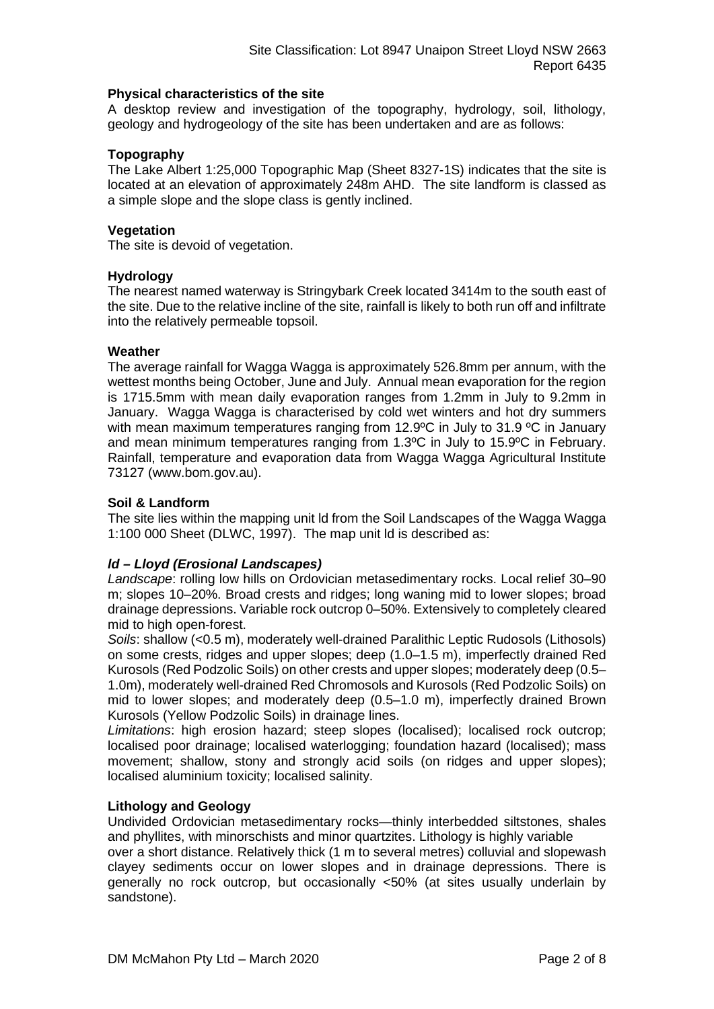#### **Physical characteristics of the site**

A desktop review and investigation of the topography, hydrology, soil, lithology, geology and hydrogeology of the site has been undertaken and are as follows:

#### **Topography**

The Lake Albert 1:25,000 Topographic Map (Sheet 8327-1S) indicates that the site is located at an elevation of approximately 248m AHD. The site landform is classed as a simple slope and the slope class is gently inclined.

#### **Vegetation**

The site is devoid of vegetation.

#### **Hydrology**

The nearest named waterway is Stringybark Creek located 3414m to the south east of the site. Due to the relative incline of the site, rainfall is likely to both run off and infiltrate into the relatively permeable topsoil.

#### **Weather**

The average rainfall for Wagga Wagga is approximately 526.8mm per annum, with the wettest months being October, June and July. Annual mean evaporation for the region is 1715.5mm with mean daily evaporation ranges from 1.2mm in July to 9.2mm in January. Wagga Wagga is characterised by cold wet winters and hot dry summers with mean maximum temperatures ranging from 12.9°C in July to 31.9 °C in January and mean minimum temperatures ranging from 1.3ºC in July to 15.9ºC in February. Rainfall, temperature and evaporation data from Wagga Wagga Agricultural Institute 73127 (www.bom.gov.au).

#### **Soil & Landform**

The site lies within the mapping unit ld from the Soil Landscapes of the Wagga Wagga 1:100 000 Sheet (DLWC, 1997). The map unit ld is described as:

#### *ld – Lloyd (Erosional Landscapes)*

*Landscape*: rolling low hills on Ordovician metasedimentary rocks. Local relief 30–90 m; slopes 10–20%. Broad crests and ridges; long waning mid to lower slopes; broad drainage depressions. Variable rock outcrop 0–50%. Extensively to completely cleared mid to high open-forest.

*Soils*: shallow (<0.5 m), moderately well-drained Paralithic Leptic Rudosols (Lithosols) on some crests, ridges and upper slopes; deep (1.0–1.5 m), imperfectly drained Red Kurosols (Red Podzolic Soils) on other crests and upper slopes; moderately deep (0.5– 1.0m), moderately well-drained Red Chromosols and Kurosols (Red Podzolic Soils) on mid to lower slopes; and moderately deep (0.5–1.0 m), imperfectly drained Brown Kurosols (Yellow Podzolic Soils) in drainage lines.

*Limitations*: high erosion hazard; steep slopes (localised); localised rock outcrop; localised poor drainage; localised waterlogging; foundation hazard (localised); mass movement; shallow, stony and strongly acid soils (on ridges and upper slopes); localised aluminium toxicity; localised salinity.

#### **Lithology and Geology**

Undivided Ordovician metasedimentary rocks—thinly interbedded siltstones, shales and phyllites, with minorschists and minor quartzites. Lithology is highly variable

over a short distance. Relatively thick (1 m to several metres) colluvial and slopewash clayey sediments occur on lower slopes and in drainage depressions. There is generally no rock outcrop, but occasionally <50% (at sites usually underlain by sandstone).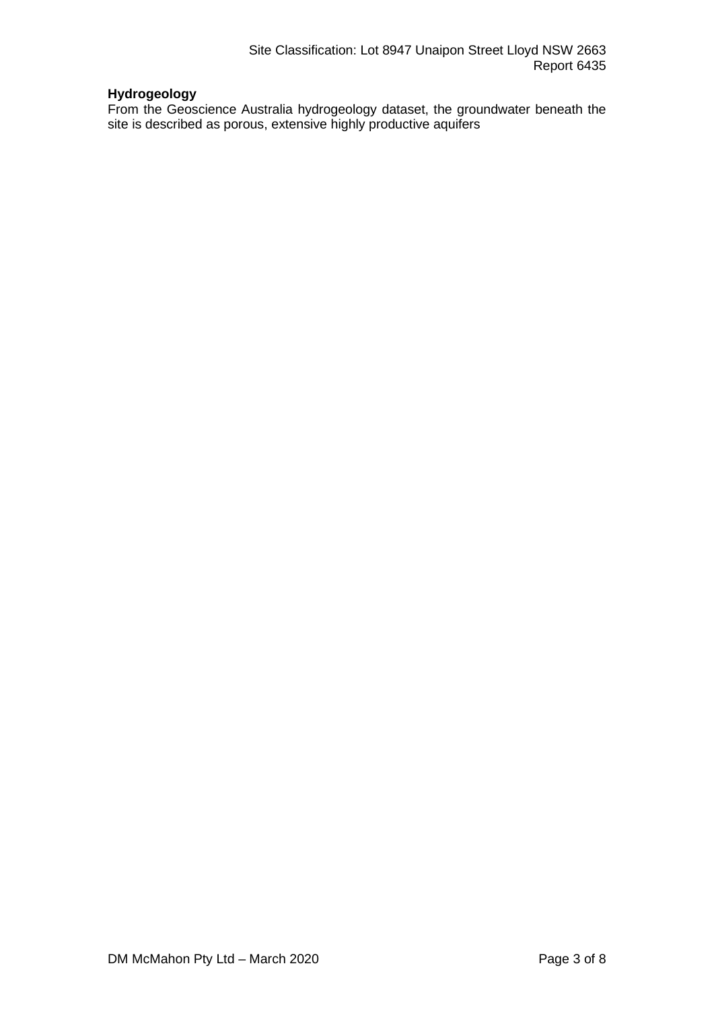# **Hydrogeology**

From the Geoscience Australia hydrogeology dataset, the groundwater beneath the site is described as porous, extensive highly productive aquifers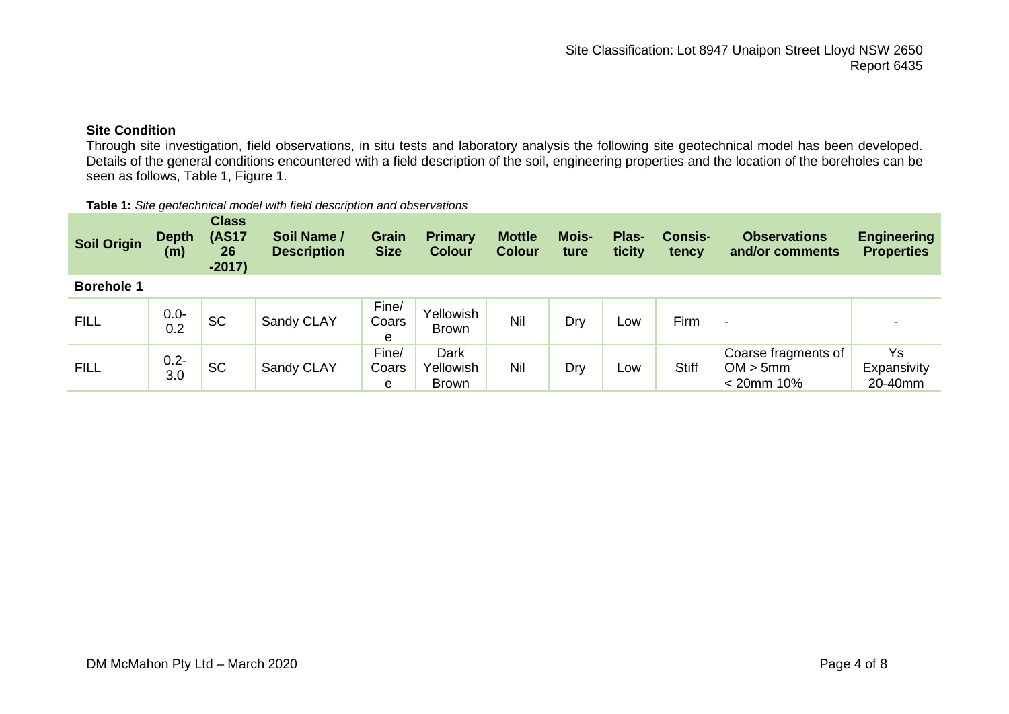## **Site Condition**

Through site investigation, field observations, in situ tests and laboratory analysis the following site geotechnical model has been developed. Details of the general conditions encountered with a field description of the soil, engineering properties and the location of the boreholes can be seen as follows, Table 1, Figure 1.

| <b>Soil Origin</b> | <b>Depth</b><br>(m) | <b>Class</b><br><b>(AS17</b><br>26<br>$-2017)$ | Soil Name /<br><b>Description</b> | Grain<br><b>Size</b> | <b>Primary</b><br><b>Colour</b>   | <b>Mottle</b><br><b>Colour</b> | <b>Mois-</b><br>ture | Plas-<br>ticity | <b>Consis-</b><br>tency | <b>Observations</b><br>and/or comments           | <b>Engineering</b><br><b>Properties</b> |
|--------------------|---------------------|------------------------------------------------|-----------------------------------|----------------------|-----------------------------------|--------------------------------|----------------------|-----------------|-------------------------|--------------------------------------------------|-----------------------------------------|
| <b>Borehole 1</b>  |                     |                                                |                                   |                      |                                   |                                |                      |                 |                         |                                                  |                                         |
| <b>FILL</b>        | $0.0 -$<br>0.2      | <b>SC</b>                                      | Sandy CLAY                        | Fine/<br>Coars<br>e  | <b>Yellowish</b><br><b>Brown</b>  | Nil                            | Dry                  | Low             | Firm                    | $\,$                                             |                                         |
| <b>FILL</b>        | $0.2 -$<br>3.0      | <b>SC</b>                                      | Sandy CLAY                        | Fine/<br>Coars<br>e  | Dark<br>Yellowish<br><b>Brown</b> | Nil                            | Dry                  | Low             | <b>Stiff</b>            | Coarse fragments of<br>OM > 5mm<br>$< 20$ mm 10% | Ys<br>Expansivity<br>20-40mm            |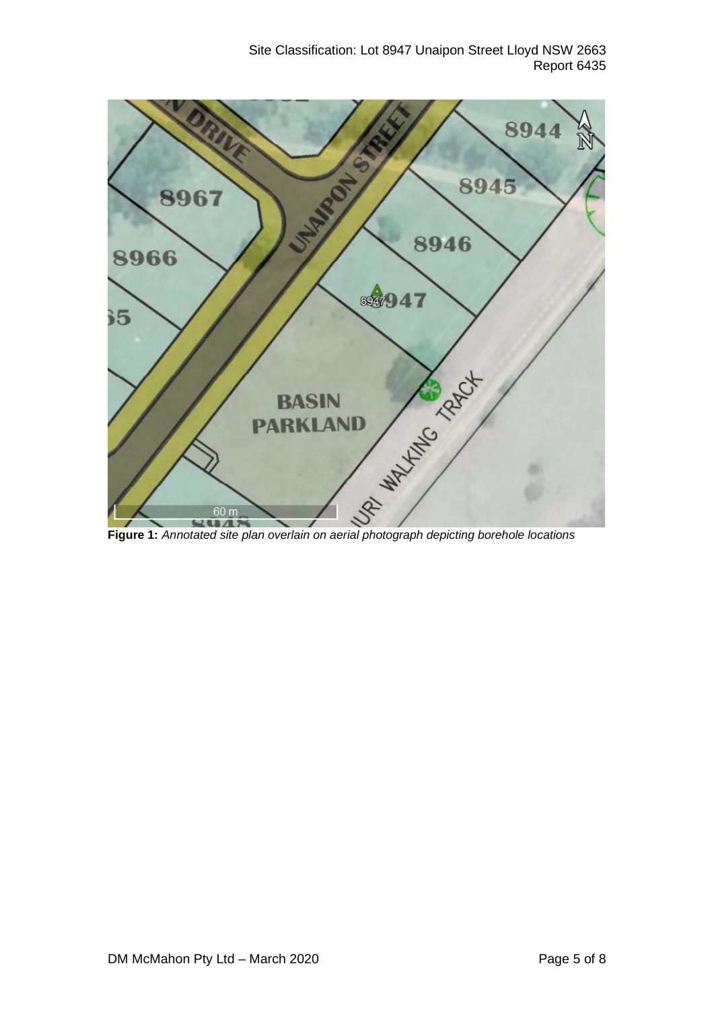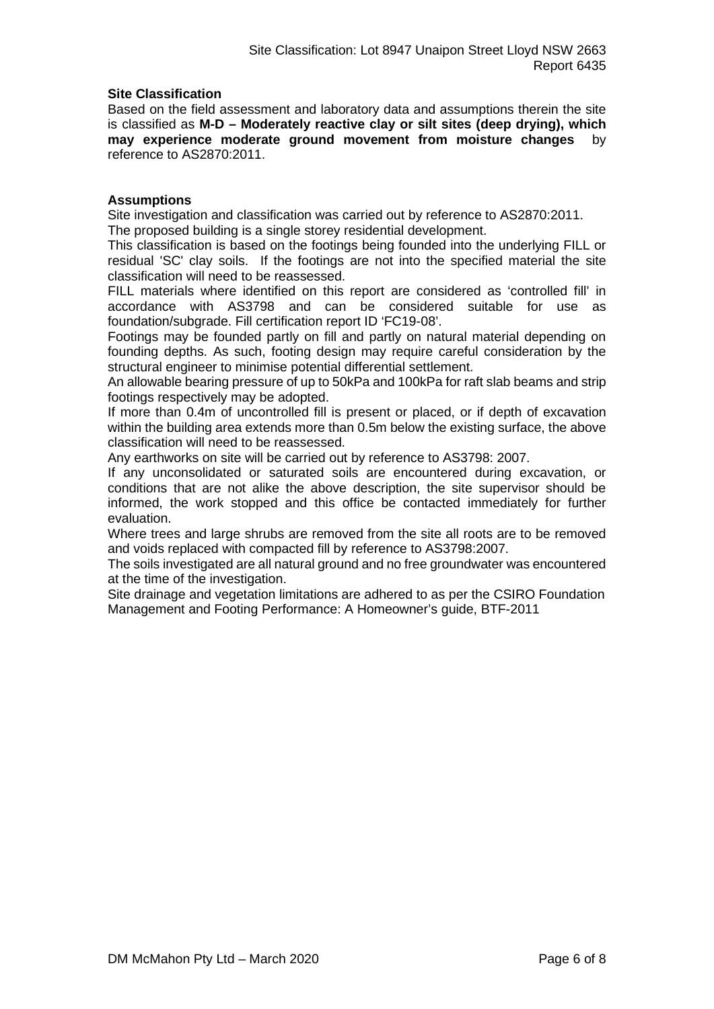#### **Site Classification**

Based on the field assessment and laboratory data and assumptions therein the site is classified as **M-D – Moderately reactive clay or silt sites (deep drying), which may experience moderate ground movement from moisture changes** by reference to AS2870:2011.

#### **Assumptions**

Site investigation and classification was carried out by reference to AS2870:2011. The proposed building is a single storey residential development.

This classification is based on the footings being founded into the underlying FILL or residual 'SC' clay soils. If the footings are not into the specified material the site classification will need to be reassessed.

FILL materials where identified on this report are considered as 'controlled fill' in accordance with AS3798 and can be considered suitable for use as foundation/subgrade. Fill certification report ID 'FC19-08'.

Footings may be founded partly on fill and partly on natural material depending on founding depths. As such, footing design may require careful consideration by the structural engineer to minimise potential differential settlement.

An allowable bearing pressure of up to 50kPa and 100kPa for raft slab beams and strip footings respectively may be adopted.

If more than 0.4m of uncontrolled fill is present or placed, or if depth of excavation within the building area extends more than 0.5m below the existing surface, the above classification will need to be reassessed.

Any earthworks on site will be carried out by reference to AS3798: 2007.

If any unconsolidated or saturated soils are encountered during excavation, or conditions that are not alike the above description, the site supervisor should be informed, the work stopped and this office be contacted immediately for further evaluation.

Where trees and large shrubs are removed from the site all roots are to be removed and voids replaced with compacted fill by reference to AS3798:2007.

The soils investigated are all natural ground and no free groundwater was encountered at the time of the investigation.

Site drainage and vegetation limitations are adhered to as per the CSIRO Foundation Management and Footing Performance: A Homeowner's guide, BTF-2011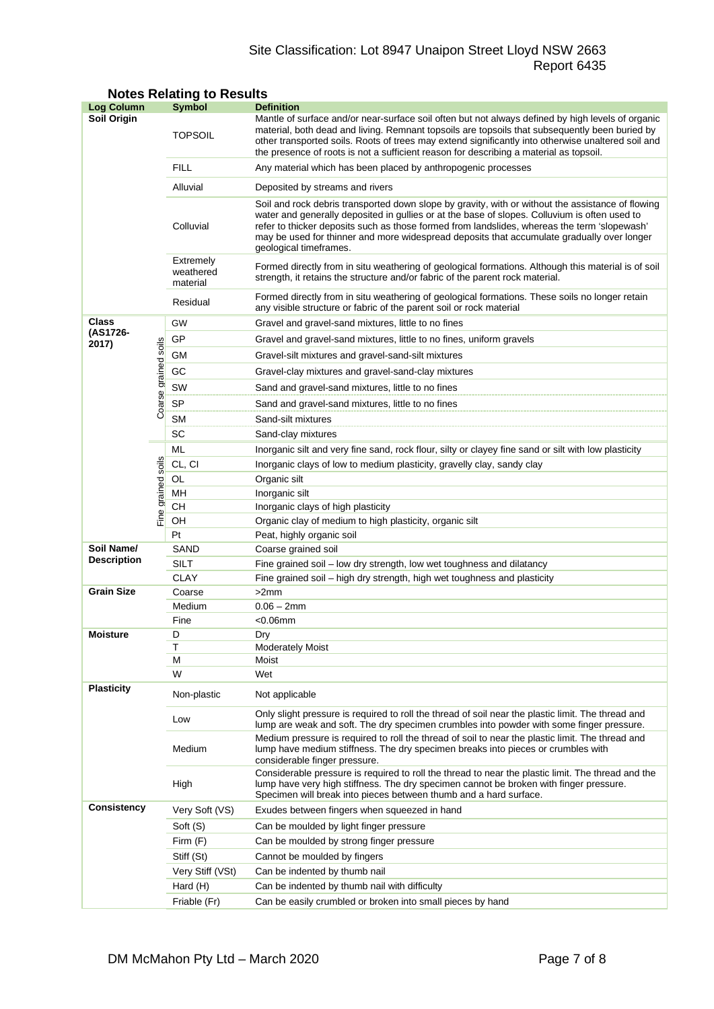## Site Classification: Lot 8947 Unaipon Street Lloyd NSW 2663 Report 6435

| <b>Log Column</b>                |                      | <b>Symbol</b>                                                                                                                                                                                                              | <b>Definition</b>                                                                                                                                                                                                                                                                                                                                                                                                          |  |  |  |
|----------------------------------|----------------------|----------------------------------------------------------------------------------------------------------------------------------------------------------------------------------------------------------------------------|----------------------------------------------------------------------------------------------------------------------------------------------------------------------------------------------------------------------------------------------------------------------------------------------------------------------------------------------------------------------------------------------------------------------------|--|--|--|
| Soil Origin                      |                      | <b>TOPSOIL</b>                                                                                                                                                                                                             | Mantle of surface and/or near-surface soil often but not always defined by high levels of organic<br>material, both dead and living. Remnant topsoils are topsoils that subsequently been buried by<br>other transported soils. Roots of trees may extend significantly into otherwise unaltered soil and<br>the presence of roots is not a sufficient reason for describing a material as topsoil.                        |  |  |  |
|                                  |                      | <b>FILL</b>                                                                                                                                                                                                                | Any material which has been placed by anthropogenic processes                                                                                                                                                                                                                                                                                                                                                              |  |  |  |
|                                  |                      | Alluvial                                                                                                                                                                                                                   | Deposited by streams and rivers                                                                                                                                                                                                                                                                                                                                                                                            |  |  |  |
|                                  |                      | Colluvial                                                                                                                                                                                                                  | Soil and rock debris transported down slope by gravity, with or without the assistance of flowing<br>water and generally deposited in gullies or at the base of slopes. Colluvium is often used to<br>refer to thicker deposits such as those formed from landslides, whereas the term 'slopewash'<br>may be used for thinner and more widespread deposits that accumulate gradually over longer<br>geological timeframes. |  |  |  |
|                                  |                      | Extremely<br>Formed directly from in situ weathering of geological formations. Although this material is of soil<br>weathered<br>strength, it retains the structure and/or fabric of the parent rock material.<br>material |                                                                                                                                                                                                                                                                                                                                                                                                                            |  |  |  |
|                                  |                      | Residual                                                                                                                                                                                                                   | Formed directly from in situ weathering of geological formations. These soils no longer retain<br>any visible structure or fabric of the parent soil or rock material                                                                                                                                                                                                                                                      |  |  |  |
| Class                            |                      | GW                                                                                                                                                                                                                         | Gravel and gravel-sand mixtures, little to no fines                                                                                                                                                                                                                                                                                                                                                                        |  |  |  |
| (AS1726-<br>2017)                |                      | GP                                                                                                                                                                                                                         | Gravel and gravel-sand mixtures, little to no fines, uniform gravels                                                                                                                                                                                                                                                                                                                                                       |  |  |  |
|                                  |                      | GМ                                                                                                                                                                                                                         | Gravel-silt mixtures and gravel-sand-silt mixtures                                                                                                                                                                                                                                                                                                                                                                         |  |  |  |
|                                  |                      | GC                                                                                                                                                                                                                         | Gravel-clay mixtures and gravel-sand-clay mixtures                                                                                                                                                                                                                                                                                                                                                                         |  |  |  |
|                                  |                      | SW<br>Sand and gravel-sand mixtures, little to no fines                                                                                                                                                                    |                                                                                                                                                                                                                                                                                                                                                                                                                            |  |  |  |
|                                  | Coarse grained soils | SP                                                                                                                                                                                                                         | Sand and gravel-sand mixtures, little to no fines                                                                                                                                                                                                                                                                                                                                                                          |  |  |  |
|                                  |                      | <b>SM</b>                                                                                                                                                                                                                  | Sand-silt mixtures                                                                                                                                                                                                                                                                                                                                                                                                         |  |  |  |
|                                  |                      | SC                                                                                                                                                                                                                         | Sand-clay mixtures                                                                                                                                                                                                                                                                                                                                                                                                         |  |  |  |
|                                  |                      | ML                                                                                                                                                                                                                         | Inorganic silt and very fine sand, rock flour, silty or clayey fine sand or silt with low plasticity                                                                                                                                                                                                                                                                                                                       |  |  |  |
|                                  |                      | CL, CI                                                                                                                                                                                                                     | Inorganic clays of low to medium plasticity, gravelly clay, sandy clay                                                                                                                                                                                                                                                                                                                                                     |  |  |  |
|                                  |                      | OL                                                                                                                                                                                                                         | Organic silt                                                                                                                                                                                                                                                                                                                                                                                                               |  |  |  |
|                                  |                      | MН                                                                                                                                                                                                                         | Inorganic silt                                                                                                                                                                                                                                                                                                                                                                                                             |  |  |  |
|                                  | Fine grained soils   | CН                                                                                                                                                                                                                         | Inorganic clays of high plasticity                                                                                                                                                                                                                                                                                                                                                                                         |  |  |  |
|                                  |                      | OH                                                                                                                                                                                                                         | Organic clay of medium to high plasticity, organic silt                                                                                                                                                                                                                                                                                                                                                                    |  |  |  |
|                                  |                      | Pt                                                                                                                                                                                                                         | Peat, highly organic soil                                                                                                                                                                                                                                                                                                                                                                                                  |  |  |  |
| Soil Name/<br><b>Description</b> |                      | SAND                                                                                                                                                                                                                       | Coarse grained soil                                                                                                                                                                                                                                                                                                                                                                                                        |  |  |  |
|                                  |                      | <b>SILT</b><br><b>CLAY</b>                                                                                                                                                                                                 | Fine grained soil - low dry strength, low wet toughness and dilatancy                                                                                                                                                                                                                                                                                                                                                      |  |  |  |
| <b>Grain Size</b>                |                      | Coarse                                                                                                                                                                                                                     | Fine grained soil - high dry strength, high wet toughness and plasticity<br>>2mm                                                                                                                                                                                                                                                                                                                                           |  |  |  |
|                                  |                      | Medium                                                                                                                                                                                                                     | $0.06 - 2mm$                                                                                                                                                                                                                                                                                                                                                                                                               |  |  |  |
|                                  |                      | Fine                                                                                                                                                                                                                       | <0.06mm                                                                                                                                                                                                                                                                                                                                                                                                                    |  |  |  |
| <b>Moisture</b>                  |                      | D                                                                                                                                                                                                                          | Dry                                                                                                                                                                                                                                                                                                                                                                                                                        |  |  |  |
|                                  |                      | Τ                                                                                                                                                                                                                          | <b>Moderately Moist</b>                                                                                                                                                                                                                                                                                                                                                                                                    |  |  |  |
|                                  |                      | М                                                                                                                                                                                                                          | Moist                                                                                                                                                                                                                                                                                                                                                                                                                      |  |  |  |
|                                  |                      | W                                                                                                                                                                                                                          | Wet                                                                                                                                                                                                                                                                                                                                                                                                                        |  |  |  |
| <b>Plasticity</b>                |                      | Non-plastic                                                                                                                                                                                                                | Not applicable                                                                                                                                                                                                                                                                                                                                                                                                             |  |  |  |
|                                  |                      | Low                                                                                                                                                                                                                        | Only slight pressure is required to roll the thread of soil near the plastic limit. The thread and<br>lump are weak and soft. The dry specimen crumbles into powder with some finger pressure.                                                                                                                                                                                                                             |  |  |  |
|                                  |                      | Medium                                                                                                                                                                                                                     | Medium pressure is required to roll the thread of soil to near the plastic limit. The thread and<br>lump have medium stiffness. The dry specimen breaks into pieces or crumbles with<br>considerable finger pressure.                                                                                                                                                                                                      |  |  |  |
|                                  |                      | High                                                                                                                                                                                                                       | Considerable pressure is required to roll the thread to near the plastic limit. The thread and the<br>lump have very high stiffness. The dry specimen cannot be broken with finger pressure.<br>Specimen will break into pieces between thumb and a hard surface.                                                                                                                                                          |  |  |  |
| <b>Consistency</b>               |                      | Very Soft (VS)                                                                                                                                                                                                             | Exudes between fingers when squeezed in hand                                                                                                                                                                                                                                                                                                                                                                               |  |  |  |
|                                  |                      | Soft (S)                                                                                                                                                                                                                   | Can be moulded by light finger pressure                                                                                                                                                                                                                                                                                                                                                                                    |  |  |  |
|                                  |                      | Firm $(F)$                                                                                                                                                                                                                 | Can be moulded by strong finger pressure                                                                                                                                                                                                                                                                                                                                                                                   |  |  |  |
|                                  |                      | Stiff (St)                                                                                                                                                                                                                 | Cannot be moulded by fingers                                                                                                                                                                                                                                                                                                                                                                                               |  |  |  |
|                                  |                      | Very Stiff (VSt)                                                                                                                                                                                                           | Can be indented by thumb nail                                                                                                                                                                                                                                                                                                                                                                                              |  |  |  |
|                                  |                      | Hard (H)                                                                                                                                                                                                                   | Can be indented by thumb nail with difficulty                                                                                                                                                                                                                                                                                                                                                                              |  |  |  |
|                                  |                      | Friable (Fr)                                                                                                                                                                                                               | Can be easily crumbled or broken into small pieces by hand                                                                                                                                                                                                                                                                                                                                                                 |  |  |  |

#### **Notes Relating to Results**